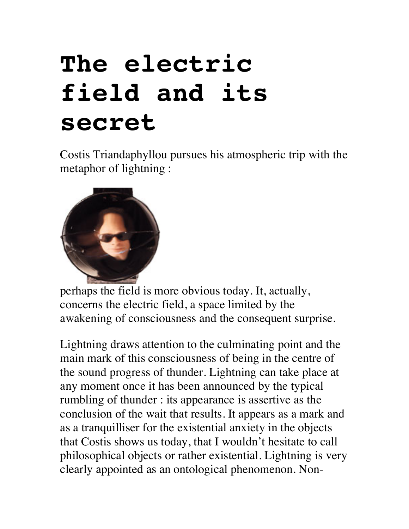## **The electric field and its secret**

Costis Triandaphyllou pursues his atmospheric trip with the metaphor of lightning :



perhaps the field is more obvious today. It, actually, concerns the electric field, a space limited by the awakening of consciousness and the consequent surprise.

Lightning draws attention to the culminating point and the main mark of this consciousness of being in the centre of the sound progress of thunder. Lightning can take place at any moment once it has been announced by the typical rumbling of thunder : its appearance is assertive as the conclusion of the wait that results. It appears as a mark and as a tranquilliser for the existential anxiety in the objects that Costis shows us today, that I wouldn't hesitate to call philosophical objects or rather existential. Lightning is very clearly appointed as an ontological phenomenon. Non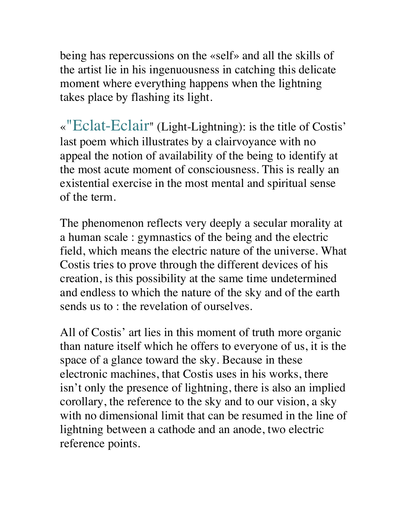being has repercussions on the «self» and all the skills of the artist lie in his ingenuousness in catching this delicate moment where everything happens when the lightning takes place by flashing its light.

«"Eclat-Eclair" (Light-Lightning): is the title of Costis' last poem which illustrates by a clairvoyance with no appeal the notion of availability of the being to identify at the most acute moment of consciousness. This is really an existential exercise in the most mental and spiritual sense of the term.

The phenomenon reflects very deeply a secular morality at a human scale : gymnastics of the being and the electric field, which means the electric nature of the universe. What Costis tries to prove through the different devices of his creation, is this possibility at the same time undetermined and endless to which the nature of the sky and of the earth sends us to : the revelation of ourselves.

All of Costis' art lies in this moment of truth more organic than nature itself which he offers to everyone of us, it is the space of a glance toward the sky. Because in these electronic machines, that Costis uses in his works, there isn't only the presence of lightning, there is also an implied corollary, the reference to the sky and to our vision, a sky with no dimensional limit that can be resumed in the line of lightning between a cathode and an anode, two electric reference points.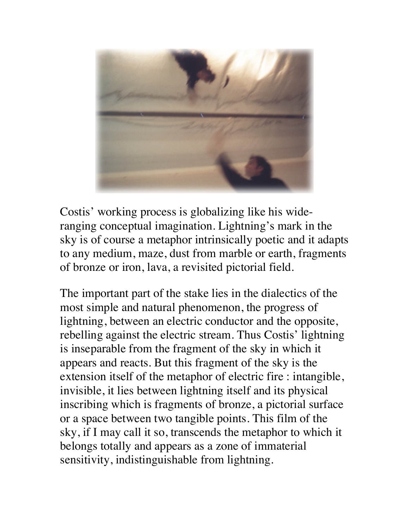

Costis' working process is globalizing like his wideranging conceptual imagination. Lightning's mark in the sky is of course a metaphor intrinsically poetic and it adapts to any medium, maze, dust from marble or earth, fragments of bronze or iron, lava, a revisited pictorial field.

The important part of the stake lies in the dialectics of the most simple and natural phenomenon, the progress of lightning, between an electric conductor and the opposite, rebelling against the electric stream. Thus Costis' lightning is inseparable from the fragment of the sky in which it appears and reacts. But this fragment of the sky is the extension itself of the metaphor of electric fire : intangible, invisible, it lies between lightning itself and its physical inscribing which is fragments of bronze, a pictorial surface or a space between two tangible points. This film of the sky, if I may call it so, transcends the metaphor to which it belongs totally and appears as a zone of immaterial sensitivity, indistinguishable from lightning.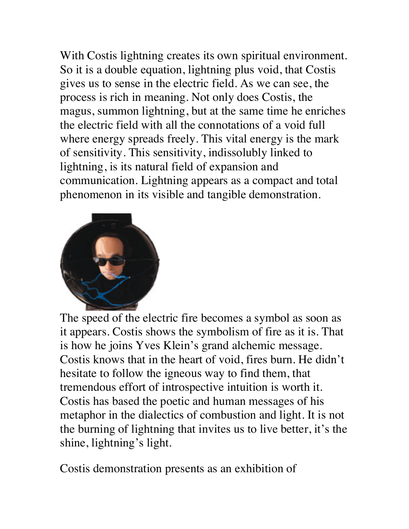With Costis lightning creates its own spiritual environment. So it is a double equation, lightning plus void, that Costis gives us to sense in the electric field. As we can see, the process is rich in meaning. Not only does Costis, the magus, summon lightning, but at the same time he enriches the electric field with all the connotations of a void full where energy spreads freely. This vital energy is the mark of sensitivity. This sensitivity, indissolubly linked to lightning, is its natural field of expansion and communication. Lightning appears as a compact and total phenomenon in its visible and tangible demonstration.



The speed of the electric fire becomes a symbol as soon as it appears. Costis shows the symbolism of fire as it is. That is how he joins Yves Klein's grand alchemic message. Costis knows that in the heart of void, fires burn. He didn't hesitate to follow the igneous way to find them, that tremendous effort of introspective intuition is worth it. Costis has based the poetic and human messages of his metaphor in the dialectics of combustion and light. It is not the burning of lightning that invites us to live better, it's the shine, lightning's light.

Costis demonstration presents as an exhibition of